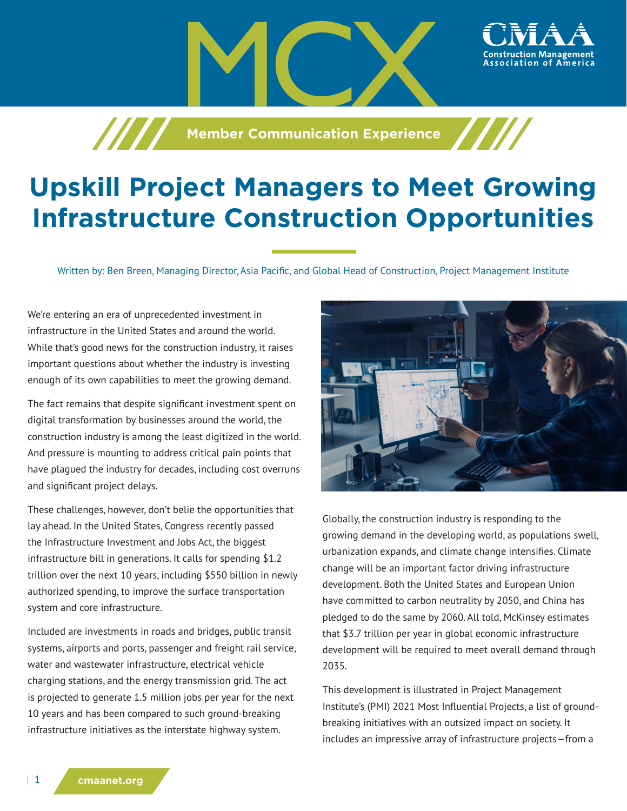**Manufacture 7 Member Communication Experience** 

## **Upskill Project Managers to Meet Growing Infrastructure Construction Opportunities**

Written by: Ben Breen, Managing Director, Asia Pacific, and Global Head of Construction, Project Management Institute

We're entering an era of unprecedented investment in infrastructure in the United States and around the world. While that's good news for the construction industry, it raises important questions about whether the industry is investing enough of its own capabilities to meet the growing demand.

The fact remains that despite significant investment spent on digital transformation by businesses around the world, the construction industry is among the least digitized in the world. And pressure is mounting to address critical pain points that have plagued the industry for decades, including cost overruns and significant project delays.

These challenges, however, don't belie the opportunities that lay ahead. In the United States, Congress recently passed the Infrastructure Investment and Jobs Act, the biggest infrastructure bill in generations. It calls for spending \$1.2 trillion over the next 10 years, including \$550 billion in newly authorized spending, to improve the surface transportation system and core infrastructure.

Included are investments in roads and bridges, public transit systems, airports and ports, passenger and freight rail service, water and wastewater infrastructure, electrical vehicle charging stations, and the energy transmission grid. The act is projected to generate 1.5 million jobs per year for the next 10 years and has been compared to such ground-breaking infrastructure initiatives as the interstate highway system.



ssociation of

Globally, the construction industry is responding to the growing demand in the developing world, as populations swell, urbanization expands, and climate change intensifies. Climate change will be an important factor driving infrastructure development. Both the United States and European Union have committed to carbon neutrality by 2050, and China has pledged to do the same by 2060. All told, McKinsey estimates that \$3.7 trillion per year in global economic infrastructure development will be required to meet overall demand through 2035.

This development is illustrated in Project Management Institute's (PMI) 2021 Most Influential Projects, a list of groundbreaking initiatives with an outsized impact on society. It includes an impressive array of infrastructure projects—from a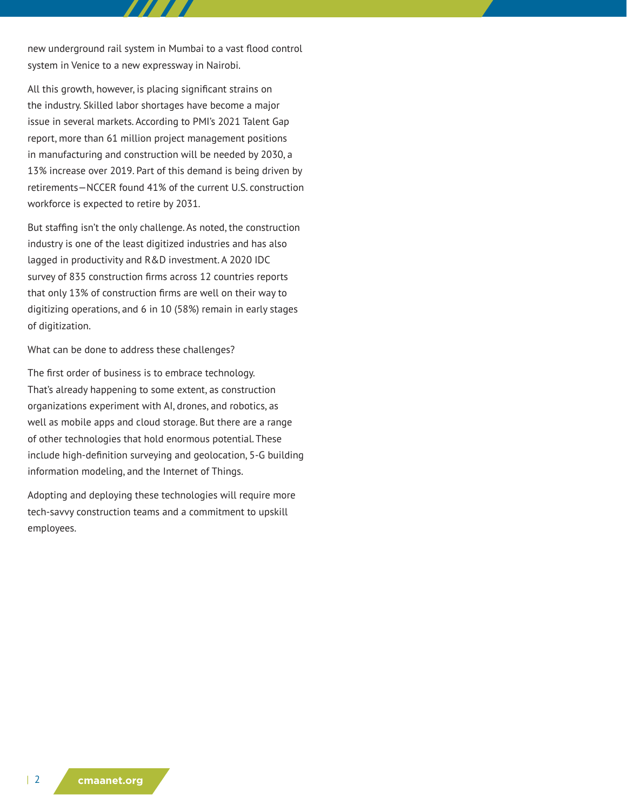new underground rail system in Mumbai to a vast flood control system in Venice to a new expressway in Nairobi.

All this growth, however, is placing significant strains on the industry. Skilled labor shortages have become a major issue in several markets. According to PMI's 2021 Talent Gap report, more than 61 million project management positions in manufacturing and construction will be needed by 2030, a 13% increase over 2019. Part of this demand is being driven by retirements—NCCER found 41% of the current U.S. construction workforce is expected to retire by 2031.

But staffing isn't the only challenge. As noted, the construction industry is one of the least digitized industries and has also lagged in productivity and R&D investment. A 2020 IDC survey of 835 construction firms across 12 countries reports that only 13% of construction firms are well on their way to digitizing operations, and 6 in 10 (58%) remain in early stages of digitization.

What can be done to address these challenges?

The first order of business is to embrace technology. That's already happening to some extent, as construction organizations experiment with AI, drones, and robotics, as well as mobile apps and cloud storage. But there are a range of other technologies that hold enormous potential. These include high-definition surveying and geolocation, 5-G building information modeling, and the Internet of Things.

Adopting and deploying these technologies will require more tech-savvy construction teams and a commitment to upskill employees.